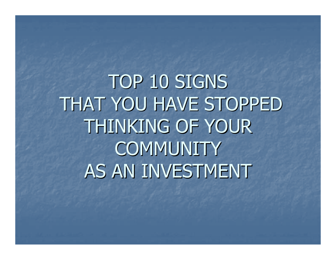TOP 10 SIGNS THAT YOU HAVE STOPPED THINKING OF YOUR **COMMUNITY** AS AN INVESTMENT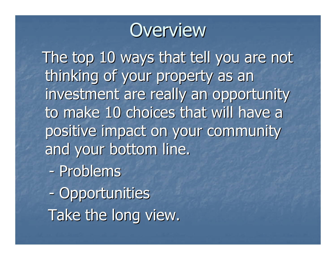

The top 10 ways that tell you are not thinking of your property as an investment are really an opportunity to make 10 choices that will have a positive impact on your community and your bottom line.

- Problems
- -- Opportunities Take the long view.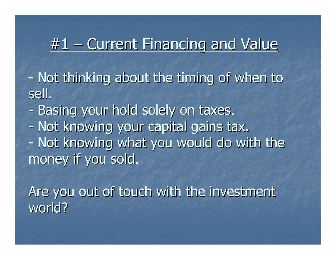## #1 – Current Financing and Value

-- Not thinking about the timing of when to sell.

-- Basing your hold solely on taxes. -- Not knowing your capital gains tax. -- Not knowing what you would do with the money if you sold.

Are you out of touch with the investment world?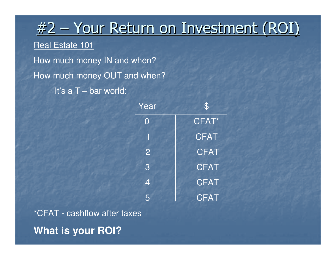# <u> #2 – Your Return on Investment (ROI)</u>

### Real Estate 101

How much money IN and when?How much money OUT and when?It's a T – bar world:

| Year                     | $\mathfrak{P}$ |
|--------------------------|----------------|
| O                        | CFAT*          |
| 1                        | <b>CFAT</b>    |
| $\overline{2}$           | <b>CFAT</b>    |
| 3                        | <b>CFAT</b>    |
| $\overline{\mathcal{A}}$ | <b>CFAT</b>    |
| 5                        | <b>CFAT</b>    |

\*CFAT - cashflow after taxes**What is your ROI?**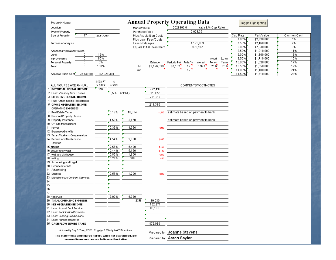| Property Name                                                         |                      |                |                           | <b>Annual Property Operating Data</b>      |                | Toggle Highlighting |              |
|-----------------------------------------------------------------------|----------------------|----------------|---------------------------|--------------------------------------------|----------------|---------------------|--------------|
| Location                                                              |                      | Market Value   |                           | 2028390.6<br>(at a 8.% Cap Rate)           |                |                     |              |
| Type of Property                                                      |                      | Purchase Price |                           | 2,028,391                                  |                |                     |              |
| Size of Property<br>47                                                | (Sq. Ft./Units)      |                | Plus Acquisiition Costs   |                                            | Cap Rate       | Park Value          | Cash on Cash |
|                                                                       |                      |                | Plus Loan Fees/Costs      |                                            | 7.00%          | \$2,320,000         | 5%           |
| Purpose of analysis                                                   |                      |                | Less Mortgages            | 1,126,839                                  | 7.50%          | \$2,160,000         | 7%           |
|                                                                       |                      |                | Equals Initial Investment | 901,552                                    | 8.00%          | \$2,030,000         | 9%           |
| Assessed/Appraised Values                                             |                      |                |                           |                                            | 8.50%          | \$1,910,000         | 11%          |
| Land<br>0                                                             | 15%                  |                |                           |                                            | $9.00\%$       | \$1,800,000         | 13%          |
| 0<br>Improvements                                                     | 85%                  |                |                           | Amort                                      | 9.50%<br>Loan  | \$1,710,000         | 15%          |
| 0<br>Personal Property                                                | 0%                   |                | Balance                   | Period<br>Periodic Pmt Pmts/Yr<br>Interest | Term<br>10.00% | \$1,620,000         | 17%          |
| $\mathbf{0}$<br>Total                                                 | 100%                 | 1st            | \$1,126,839               | 5.99%<br>25.6<br>\$7,182<br>12             | 25.6<br>10.50% | \$1,550,000         | 19%          |
|                                                                       |                      | 2nd            |                           | 12                                         | $11.00\%$      | \$1,480,000         | 21%          |
| Adjusted Basis as of<br>26-Oct-09                                     | \$2,028,391          |                |                           |                                            | 11.50%         | \$1,410,000         | 23%          |
|                                                                       |                      |                |                           |                                            |                |                     |              |
|                                                                       | %<br>\$/SQ FT        |                |                           |                                            |                |                     |              |
| ALL FIGURES ARE ANNUAL                                                | or \$AJnit<br>of GOI |                |                           | COMMENTS/FOOTNOTES                         |                |                     |              |
| 1 POTENTIAL RENTAL INCOME                                             | 394                  |                | 222,432                   |                                            |                |                     |              |
| 2 Less: Vacancy & Cr. Losses                                          |                      | $(5.%$ of PRI) | 11,122                    |                                            |                |                     |              |
| 3 EFFECTIVE RENTAL INCOME                                             |                      |                | 211,310                   |                                            |                |                     |              |
| 4 Plus: Other Income (collectable)                                    |                      |                |                           |                                            |                |                     |              |
| 5 GROSS OPERATING INCOME                                              |                      |                | 211,310                   |                                            |                |                     |              |
| OPERATING EXPENSES:                                                   |                      |                |                           |                                            |                |                     |              |
| 7 Real Estate Taxes                                                   | 5.12%                | 10,814         | \$1,165                   | estimate based on payment to bank          |                |                     |              |
| 8 Personal Property Taxes                                             |                      |                |                           |                                            |                |                     |              |
| 9 Property Insurance                                                  | 1.50%                | 3,170          |                           | estimate based on payment to bank          |                |                     |              |
| 10 Off Site Management                                                |                      |                |                           |                                            |                |                     |              |
| 11 Payroll                                                            | 2.35%                | 4,956          | \$413                     |                                            |                |                     |              |
| 12 Expenses/Benefits                                                  |                      |                |                           |                                            |                |                     |              |
| 13 Taxes/Worker's Compensation                                        |                      |                |                           |                                            |                |                     |              |
| 14 Repairs and Maintenance                                            | 4.54%                | 9,600          | \$800                     |                                            |                |                     |              |
| Utilities:                                                            |                      |                |                           |                                            |                |                     |              |
| 15 electric                                                           | 2.56%<br>2.44%       | 5,400<br>5,160 | \$450                     |                                            |                |                     |              |
| 16 sewer and water<br>17 heat gas clubhouse                           | 0.85%                | 1,800          | \$430                     |                                            |                |                     |              |
| 18 testing                                                            | 0.28%                | 600            | \$150                     |                                            |                |                     |              |
| 19 Accounting and Legal                                               |                      |                | \$50                      |                                            |                |                     |              |
| 20 Licenses/Permits                                                   |                      |                |                           |                                            |                |                     |              |
| 21 Advertising                                                        |                      |                |                           |                                            |                |                     |              |
| 22 Supplies                                                           | 0.57%                | 1,200          | \$100                     |                                            |                |                     |              |
| 23 Miscellaneous Contract Services:                                   |                      |                |                           |                                            |                |                     |              |
| 24                                                                    |                      |                |                           |                                            |                |                     |              |
| 25                                                                    |                      |                |                           |                                            |                |                     |              |
| 26                                                                    |                      |                |                           |                                            |                |                     |              |
| 27                                                                    |                      |                |                           |                                            |                |                     |              |
| 28 Reserves                                                           | 3.00%                | 6,339          |                           |                                            |                |                     |              |
| 29 TOTAL OPERATING EXPENSES                                           |                      | 23%            | 49,039                    |                                            |                |                     |              |
| 30 NET OPERATING INCOME                                               |                      |                | 162,271                   |                                            |                |                     |              |
| 31 Less: Annual Debt Service                                          |                      |                | 86,185                    |                                            |                |                     |              |
| 32 Less: Participation Payments                                       |                      |                |                           |                                            |                |                     |              |
| 33 Less: Leasing Commissions                                          |                      |                |                           |                                            |                |                     |              |
| 34 Less: Funded Reserves                                              |                      |                |                           |                                            |                |                     |              |
| 35 CASH FLOW BEFORE TAXES                                             |                      |                | \$76,086                  |                                            |                |                     |              |
|                                                                       |                      |                |                           |                                            |                |                     |              |
| Authored by Gary G. Tharp, CCIM Copyright® 2004 by the CCIM Institute |                      |                |                           | Prepared for: Joanne Stevens               |                |                     |              |
| The statements and figures herein, while not guaranteed, are          |                      |                |                           |                                            |                |                     |              |
| secured from sources we believe authoritative.                        |                      |                |                           | Prepared by: Aaron Saylor                  |                |                     |              |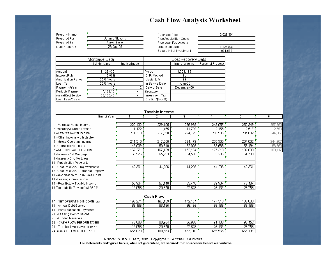#### **Cash Flow Analysis Worksheet**

Property Name Prepared For Prepared By Date Prepared

| Joanne Stevens |  |
|----------------|--|
| Aaron Saylor   |  |
| 26-Oct-09      |  |
|                |  |

Purchase Price Plus Acquisiition Costs Plus Loan Fees/Costs Less Mortgages Equals Initial Investment

| 2,028,391 |  |
|-----------|--|
|           |  |
|           |  |
| 1,126,839 |  |
| 901,552   |  |

| Mortgage Data        |              |                          | Cost Recovery Data |              |                   |  |
|----------------------|--------------|--------------------------|--------------------|--------------|-------------------|--|
|                      | 1st Mortgage | 2nd Mortgage             |                    | Improvements | Personal Property |  |
|                      |              |                          |                    |              |                   |  |
| lAmount.             | 1,126,839    |                          | Value              | 1,724,115    |                   |  |
| IInterest Rate       | 5.99%        |                          | C. R. Method       | SL           |                   |  |
| lAmortization Period | 25.6 Years   |                          | Useful Life        | 39           |                   |  |
| l Loan Term          | 25.6 Yearsl  |                          | In Service Date    | 1-Jan-02     |                   |  |
| ∣Paγments/Year       | 12           | 12                       | Date of Sale       | December-06  |                   |  |
| Periodic Payment     | 7,182.12     | $\overline{\phantom{0}}$ | Recapture          |              |                   |  |
| Annual Debt Service. | 86,185.48    |                          | Investment Tax     |              |                   |  |
| l Loan Fees/Costs    |              |                          | Credit (\$\$ or %) |              |                   |  |

|                                       |         | Taxable Income       |         |         |         |         |
|---------------------------------------|---------|----------------------|---------|---------|---------|---------|
| End of Year:                          |         |                      | з       |         | 5       | 6       |
|                                       |         |                      |         |         |         |         |
| Potential Rental Income               | 222,432 | 229,105              | 235,978 | 243,057 | 250,349 | 257,860 |
| 2 -Vacancy & Credit Losses            | 11,122  | 11,455               | 11.799  | 12,153  | 12,517  | 12,893  |
| 3 = Effective Rental Income           | 211,310 | 217,650              | 224,179 | 230,905 | 237,832 | 244,967 |
| 4 +Other Income (collectable)         |         |                      |         |         |         |         |
| 5 = Gross Operating Income            | 211,310 | 217,650              | 224,179 | 230,905 | 237,832 | 244,967 |
| 6 -Operating Expenses                 | 49,039  | 50,510               | 52,026  | 53,586  | 55,194  | 56,850  |
| 7 = NET OPERATING INCOME              | 162,271 | 167,139              | 172,154 | 177,318 | 182,638 | 188,117 |
| 8-Interest-1st Mortgage               | 66,976  | 65,793               | 64,538  | 63.205  | 61,790  |         |
| 9 -Interest - 2nd Mortgage            |         |                      |         |         |         |         |
| 10 -Participation Payments            |         |                      |         |         |         |         |
| 11 - Cost Recovery - Improvements     | 42,361  | 44,206               | 44,206  | 44,206  | 42,361  |         |
| 12 -Cost Recovery - Personal Property |         |                      |         |         |         |         |
| 13 -Amortization of Loan Fees/Costs   |         |                      |         |         |         |         |
| 14 -Leasing Commissions               |         |                      |         |         |         |         |
| 15 =Real Estate Taxable Income        | 52,934  | 57,140               | 63,410  | 69,907  | 78,487  |         |
| 16 Tax Liability (Savings) at 36.0%   | 19,056  | 20,570               | 22,828  | 25,167  | 28,255  |         |
|                                       |         | $\sim$ $\sim$ $\sim$ |         |         |         |         |

|                                        |          | Cash Flow |          |          |          |
|----------------------------------------|----------|-----------|----------|----------|----------|
| 17 NET OPERATING INCOME (Line 7)       | 162.271  | 167.139   | 172.154  | 177,318  | 182,638  |
| 18 - Annual Debt Service               | 86.185   | 86.185    | 86.185   | 86,185   | 86,185   |
| 19 - Participatipation Payments        |          |           |          |          |          |
| 20 - Leasing Commissions               |          |           |          |          |          |
| 21 - Funded Reserves                   |          |           |          |          |          |
| 22 = CASH FLOW BEFORE TAXES            | 76.086   | 80.954    | 85.968   | 91.133   | 96,452   |
| 23 - Tax Liability (Savings) (Line 16) | 19.056   | 20.570    | 22.828   | 25.167   | 28,255   |
| 24 = CASH FLOW AFTER TAXES             | \$57,029 | \$60,383  | \$63,140 | \$65,966 | \$68,197 |

Authored by Gary G. Tharp, CCIM Copyright@ 2004 by the CCIM Institute The statements and figures herein, while not guaranteed, are secured from sources we believe authoritative.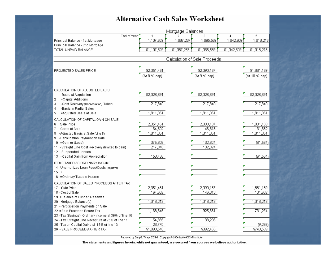#### **Alternative Cash Sales Worksheet**

|                                                                                                              |                      | Mortgage Balances |                              |             |                      |
|--------------------------------------------------------------------------------------------------------------|----------------------|-------------------|------------------------------|-------------|----------------------|
| End of Year:                                                                                                 | 1                    |                   | 3                            | 4           | 5                    |
| Principal Balance - 1st Mortgage                                                                             | 1,107,629            | 1,087,237         | 1,065,589                    | 1,042,609   | 1,018,213            |
| Principal Balance - 2nd Mortgage                                                                             |                      |                   |                              |             |                      |
| TOTAL UNPAID BALANCE                                                                                         | \$1,107,629          | \$1,087,237       | \$1,065,589                  | \$1,042,609 | \$1,018,213          |
|                                                                                                              |                      |                   |                              |             |                      |
|                                                                                                              |                      |                   | Calculation of Sale Proceeds |             |                      |
|                                                                                                              |                      |                   |                              |             |                      |
| PROJECTED SALES PRICE                                                                                        | \$2,351,461          |                   | \$2,090,187                  |             | \$1,881,169          |
|                                                                                                              | (At 8.% cap)         |                   | (At 9.% cap)                 |             | (At 10.% cap)        |
|                                                                                                              |                      |                   |                              |             |                      |
|                                                                                                              |                      |                   |                              |             |                      |
| CALCULATION OF ADJUSTED BASIS:                                                                               |                      |                   |                              |             |                      |
| 1<br>Basis at Acquisition                                                                                    | \$2,028,391          |                   | \$2,028,391                  |             | \$2,028,391          |
| 2<br>+Capital Additions<br>3                                                                                 | 217,340              |                   | 217,340                      |             | 217,340              |
| -Cost Recovery (Depreciation) Taken<br>4<br>-Basis in Partial Sales                                          |                      |                   |                              |             |                      |
| 5<br>=Adjusted Basis at Sale                                                                                 | 1,811,051            |                   | 1,811,051                    |             | 1,811,051            |
|                                                                                                              |                      |                   |                              |             |                      |
| CALCULATION OF CAPITAL GAIN ON SALE:                                                                         |                      |                   |                              |             |                      |
| Sale Price<br>6<br>7.<br>-Costs of Sale                                                                      | 2,351,461<br>164,602 |                   | 2,090,187<br>146,313         |             | 1,881,169<br>131,682 |
| -Adjusted Basis at Sale (Line 5)<br>8                                                                        | 1,811,051            |                   | 1,811,051                    |             | 1,811,051            |
| 9 -Participation Payment on Sale                                                                             |                      |                   |                              |             |                      |
| 10 = Gain or (Loss)                                                                                          | 375,808              |                   | 132,824                      |             | (61, 564)            |
| 11 -Straight Line Cost Recovery (limited to gain)                                                            | 217,340              |                   | 132,824                      |             |                      |
| 12 -Suspended Losses                                                                                         |                      |                   |                              |             |                      |
| 13 = Capital Gain from Appreciation                                                                          | 158,468              |                   |                              |             | (61, 564)            |
| ITEMS TAXED AS ORDINARY INCOME:                                                                              |                      |                   |                              |             |                      |
| 14 Unamortized Loan Fees/Costs (negative)                                                                    |                      |                   |                              |             |                      |
| $15 +$                                                                                                       |                      |                   |                              |             |                      |
| 16 = Ordinary Taxable Income                                                                                 |                      |                   |                              |             |                      |
| CALCULATION OF SALES PROCEEDS AFTER TAX:                                                                     |                      |                   |                              |             |                      |
| 17 Sale Price                                                                                                | 2,351,461            |                   | 2,090,187                    |             | 1,881,169            |
| 18 - Cost of Sale                                                                                            | 164,602              |                   | 146,313                      |             | 131,682              |
| 19 + Balance of Funded Reserves                                                                              |                      |                   |                              |             |                      |
| 20 -Mortgage Balance(s)                                                                                      | 1,018,213            |                   | 1,018,213                    |             | 1,018,213            |
| 21 - Participation Payments on Sale                                                                          |                      |                   |                              |             |                      |
| 22 =Sale Proceeds Before Tax                                                                                 | 1,168,646            |                   | 925,661                      |             | 731,274              |
| 23 - Tax (Savings): Ordinary Income at 36% of line 16<br>24 - Tax: Straight Line Recapture at 25% of line 11 | 54,335               |                   | 33,206                       |             |                      |
| 25 - Tax on Capital Gains at 15% of line 13                                                                  | 23,770               |                   |                              |             | (9,235)              |
| 26 = SALE PROCEEDS AFTER TAX                                                                                 | \$1,090,540          |                   | \$892,455                    |             | \$740,509            |
|                                                                                                              |                      |                   |                              |             |                      |

Authored by Gary G. Tharp, CCIM Copyright® 2004 by the CCIM Institute

The statements and figures herein, while not guaranteed, are secured from sources we believe authoritative.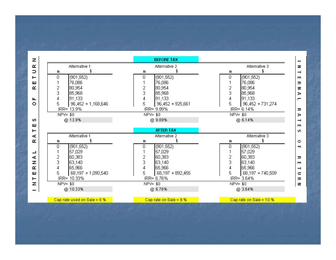| z |                               | <b>BEFORE TAX</b>        |                           |
|---|-------------------------------|--------------------------|---------------------------|
| œ | Alternative 1                 | Alternative 2            | Alternative 3             |
| ⊃ | n                             | n                        | n                         |
|   | (901, 552)<br>0               | (901, 552)<br>0          | (901, 552)<br>0           |
|   | 76,086                        | 76,086                   | 76,086                    |
|   | 80,954<br>2                   | 80,954<br>2              | 2<br>80,954               |
|   | 3<br>85,968                   | 3<br>85,968              | 3<br>85,968               |
|   | 91,133                        | 91,133                   | 91,133<br>4               |
|   | 5<br>$96,452 + 1,168,646$     | 96,452 + 925,661<br>5    | 5<br>96,452 + 731,274     |
|   | IRR= 13.9%                    | IRR= 9.89%               | IRR= 6.14%                |
|   | $NPV = $0$                    | $NPV = $0$               | $NPV = $0$                |
|   | @ 13.9%                       | @ 9.89%                  | @ 6.14%                   |
|   |                               |                          |                           |
|   |                               | <b>AFTER TAX</b>         |                           |
|   | Alternative 1                 | Alternative 2            | Alternative 3             |
|   | n                             | n                        | n                         |
|   | (901, 552)<br>0               | (901,552)<br>Ū           | 0<br>(901, 552)           |
|   | 57,029                        | 57,029                   | 57,029                    |
|   | 2<br>60,383                   | 2<br>60,383              | 2<br>60,383               |
|   | 3<br>63,140                   | 3<br>63,140              | 3<br>63,140               |
|   | 65,966<br>4                   | 65,966<br>4              | 65,966<br>4               |
|   | 5<br>68,197 + 1,090,540       | 5<br>68, 197 + 892, 455  | 5<br>68,197 + 740,509     |
|   | IRR= 10.33%                   | IRR= 6.76%               | IRR= 3.64%                |
|   | $NPV = $0$                    | $NPV = $0$               | $NPV = $0$                |
|   | @ 10.33%                      | @ 6.76%                  | @ 3.64%                   |
|   |                               |                          |                           |
|   | Cap rate used on Sale = $8.%$ | Cap rate on Sale = $9.%$ | Cap rate on Sale = $10.%$ |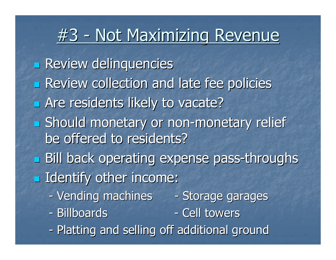# #3 - Not Maximizing Revenue

 Review delinquencies **Executed Endepte of the Series** Policies **Example 1 Are residents likely to vacate? Should monetary or non-monetary relief** be offered to residents? **Bill back operating expense pass-throughs**  $\blacksquare$  Identify other income: -- Vending machines - Storage garages - Billboards - Cell towers -- Platting and selling off additional ground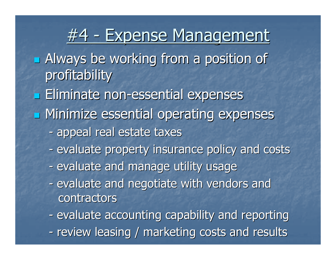## <u>#4 - Expense Management</u>

**Example 3 Always be working from a position of** profitability

**Eliminate non-essential expenses** 

- **<u>Ead</u>** Minimize essential operating expenses
	- appeal real estate taxes
	- -- evaluate property insurance policy and costs
	- -- evaluate and manage utility usage
	- -- evaluate and negotiate with vendors and contractors
	- -- evaluate accounting capability and reporting
	- -- review leasing / marketing costs and results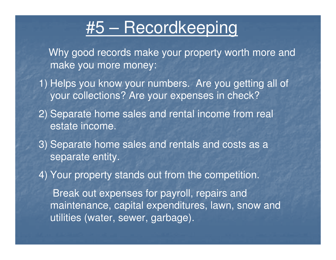### #5 – Recordkeeping

Why good records make your property worth more and make you more money:

- 1) Helps you know your numbers. Are you getting all of your collections? Are your expenses in check?
- 2) Separate home sales and rental income from real estate income.
- 3) Separate home sales and rentals and costs as a separate entity.
- 4) Your property stands out from the competition.

Break out expenses for payroll, repairs and maintenance, capital expenditures, lawn, snow and utilities (water, sewer, garbage).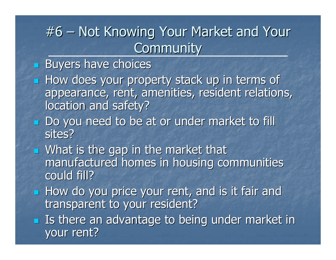#### #6 –– Not Knowing Your Market and Your **Community**

#### $\mathbb{R}^2$ **Buyers have choices**

- $\mathbb{R}^2$ **How does your property stack up in terms of** appearance, rent, amenities, resident relations, location and safety?
- $\mathbf{r}$ **Do you need to be at or under market to fill** sites?
- $\mathbf{r}$ **Nhat is the gap in the market that** manufactured homes in housing communities could fill?
- $\mathbb{Z}$ **How do you price your rent, and is it fair and** transparent to your resident?
- $\mathbb{Z}$ **I** Is there an advantage to being under market in your rent?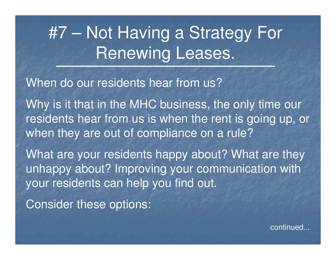### #7 – Not Having a Strategy For Renewing Leases.

When do our residents hear from us?

Why is it that in the MHC business, the only time our residents hear from us is when the rent is going up, or when they are out of compliance on a rule?

What are your residents happy about? What are they unhappy about? Improving your communication with your residents can help you find out.

Consider these options:

continued...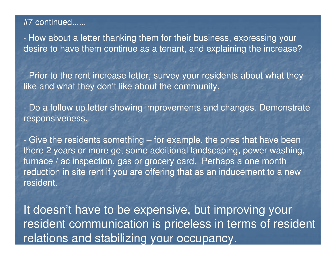#### #7 continued......

 How about a letter thanking them for their business, expressing your desire to have them continue as a tenant, and <u>explaining</u> the increase?

**-** Prior to the rent increase letter, survey your residents about what they like and what they don't like about the community.

**-** Do a follow up letter showing improvements and changes. Demonstrate responsiveness.

**-** Give the residents something – for example, the ones that have been there 2 years or more get some additional landscaping, power washing, furnace / ac inspection, gas or grocery card. Perhaps a one month reduction in site rent if you are offering that as an inducement to a new resident.

It doesn't have to be expensive, but improving your resident communication is priceless in terms of resident relations and stabilizing your occupancy.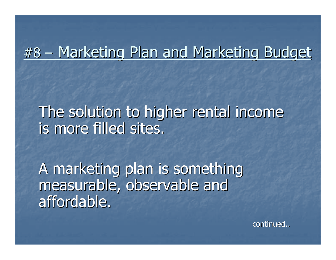## #8 – Marketing Plan and Marketing Budget

The solution to higher rental income is more filled sites.

A marketing plan is something measurable, observable and affordable.

continued..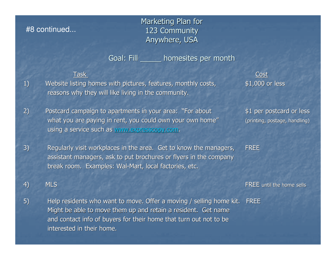#### #8 continued...

Marketing Plan for 123 Community Anywhere, USA

Goal: Fill \_\_\_\_\_ homesites per month

1) Website listing homes with pictures, features, monthly costs, reasons why they will like living in the community.

Task Cost\$1,000 or less

2) Postcard campaign to apartments in your area: "For about \$1 per postcard or less what you are paying in rent, you could own your own home" using a service such as www.expresscopy.com.

(printing, postage, handling)

FREE

assistant managers, ask to put brochures or flyers in the companybreak room. Examples: Wal-Mart, local factories, etc.

3) Regularly visit workplaces in the area. Get to know the managers,

4) MLS

5) Help residents who want to move. Offer a moving / selling home kit. FREEMight be able to move them up and retain a resident. Get name and contact info of buyers for their home that turn out not to be interested in their home.

FREE until the home sells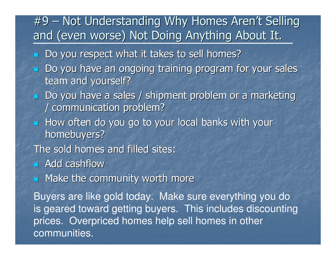### #9 – Not Understanding Why Homes Aren't Selling and (even worse) Not Doing Anything About It.

- **Do you respect what it takes to sell homes?**
- L. Do you have an ongoing training program for your sales team and yourself?
- **Do you have a sales / shipment problem or a marketing** / communication problem?
- $\blacksquare$  How often do you go to your local banks with your homebuyers?

The sold homes and filled sites:

**Read cashflow** 

**Rake the community worth more** 

Buyers are like gold today. Make sure everything you do is geared toward getting buyers. This includes discounting prices. Overpriced homes help sell homes in other communities.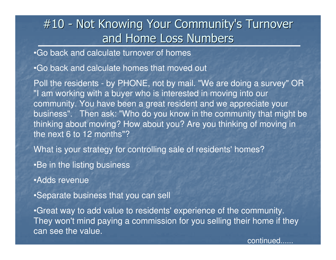### #10 - Not Knowing Your Community's Turnover and Home Loss Numbers

•Go back and calculate turnover of homes

•Go back and calculate homes that moved out

Poll the residents - by PHONE, not by mail. "We are doing a survey" OR "I am working with a buyer who is interested in moving into our community. You have been a great resident and we appreciate your business". Then ask: "Who do you know in the community that might be thinking about moving? How about you? Are you thinking of moving in the next 6 to 12 months"?

What is your strategy for controlling sale of residents' homes?

•Be in the listing business

•Adds revenue

•Separate business that you can sell

•Great way to add value to residents' experience of the community. They won't mind paying a commission for you selling their home if they can see the value.

continued......